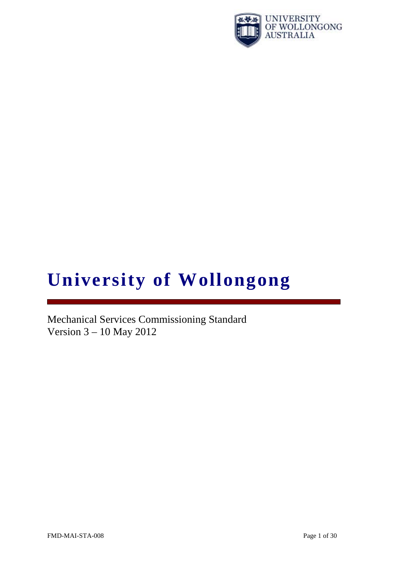

# **University of Wollongong**

Mechanical Services Commissioning Standard Version 3 – 10 May 2012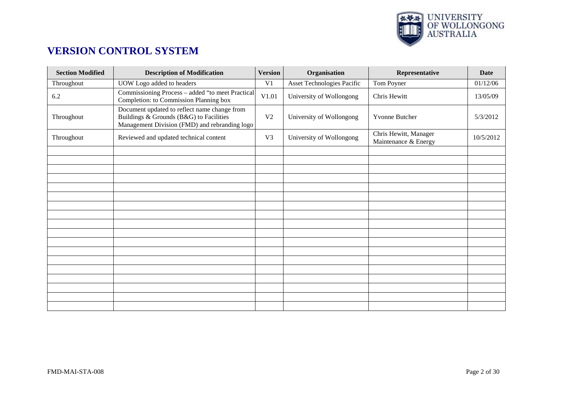

# **VERSION CONTROL SYSTEM**

| <b>Section Modified</b> | <b>Description of Modification</b>                                                                                                       | <b>Version</b> | Organisation               | Representative                                | <b>Date</b> |
|-------------------------|------------------------------------------------------------------------------------------------------------------------------------------|----------------|----------------------------|-----------------------------------------------|-------------|
| Throughout              | UOW Logo added to headers                                                                                                                | V <sub>1</sub> | Asset Technologies Pacific | Tom Poyner                                    | 01/12/06    |
| 6.2                     | Commissioning Process - added "to meet Practical<br>Completion: to Commission Planning box                                               | V1.01          | University of Wollongong   | Chris Hewitt                                  | 13/05/09    |
| Throughout              | Document updated to reflect name change from<br>Buildings & Grounds (B&G) to Facilities<br>Management Division (FMD) and rebranding logo | V <sub>2</sub> | University of Wollongong   | Yvonne Butcher                                | 5/3/2012    |
| Throughout              | Reviewed and updated technical content                                                                                                   | V <sub>3</sub> | University of Wollongong   | Chris Hewitt, Manager<br>Maintenance & Energy | 10/5/2012   |
|                         |                                                                                                                                          |                |                            |                                               |             |
|                         |                                                                                                                                          |                |                            |                                               |             |
|                         |                                                                                                                                          |                |                            |                                               |             |
|                         |                                                                                                                                          |                |                            |                                               |             |
|                         |                                                                                                                                          |                |                            |                                               |             |
|                         |                                                                                                                                          |                |                            |                                               |             |
|                         |                                                                                                                                          |                |                            |                                               |             |
|                         |                                                                                                                                          |                |                            |                                               |             |
|                         |                                                                                                                                          |                |                            |                                               |             |
|                         |                                                                                                                                          |                |                            |                                               |             |
|                         |                                                                                                                                          |                |                            |                                               |             |
|                         |                                                                                                                                          |                |                            |                                               |             |
|                         |                                                                                                                                          |                |                            |                                               |             |
|                         |                                                                                                                                          |                |                            |                                               |             |
|                         |                                                                                                                                          |                |                            |                                               |             |
|                         |                                                                                                                                          |                |                            |                                               |             |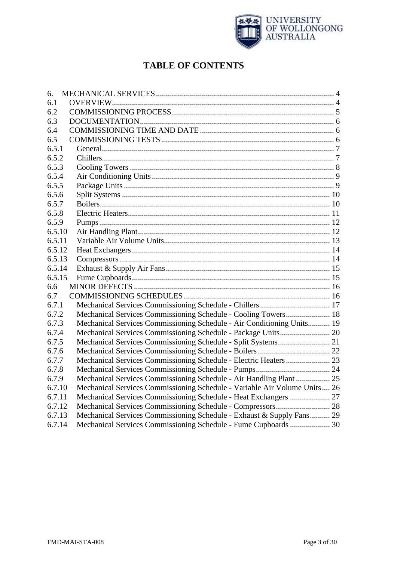

# **TABLE OF CONTENTS**

| 6.     |                                                                           |  |
|--------|---------------------------------------------------------------------------|--|
| 6.1    |                                                                           |  |
| 6.2    |                                                                           |  |
| 6.3    |                                                                           |  |
| 6.4    |                                                                           |  |
| 6.5    |                                                                           |  |
| 6.5.1  |                                                                           |  |
| 6.5.2  |                                                                           |  |
| 6.5.3  |                                                                           |  |
| 6.5.4  |                                                                           |  |
| 6.5.5  |                                                                           |  |
| 6.5.6  |                                                                           |  |
| 6.5.7  |                                                                           |  |
| 6.5.8  |                                                                           |  |
| 6.5.9  |                                                                           |  |
| 6.5.10 |                                                                           |  |
| 6.5.11 |                                                                           |  |
| 6.5.12 |                                                                           |  |
| 6.5.13 |                                                                           |  |
| 6.5.14 |                                                                           |  |
| 6.5.15 |                                                                           |  |
| 6.6    |                                                                           |  |
| 6.7    |                                                                           |  |
| 6.7.1  |                                                                           |  |
| 6.7.2  | Mechanical Services Commissioning Schedule - Cooling Towers 18            |  |
| 6.7.3  | Mechanical Services Commissioning Schedule - Air Conditioning Units 19    |  |
| 6.7.4  |                                                                           |  |
| 6.7.5  |                                                                           |  |
| 6.7.6  |                                                                           |  |
| 6.7.7  | Mechanical Services Commissioning Schedule - Electric Heaters  23         |  |
| 6.7.8  |                                                                           |  |
| 6.7.9  | Mechanical Services Commissioning Schedule - Air Handling Plant  25       |  |
| 6.7.10 | Mechanical Services Commissioning Schedule - Variable Air Volume Units 26 |  |
| 6.7.11 | Mechanical Services Commissioning Schedule - Heat Exchangers  27          |  |
| 6.7.12 |                                                                           |  |
| 6.7.13 | Mechanical Services Commissioning Schedule - Exhaust & Supply Fans 29     |  |
| 6.7.14 | Mechanical Services Commissioning Schedule - Fume Cupboards  30           |  |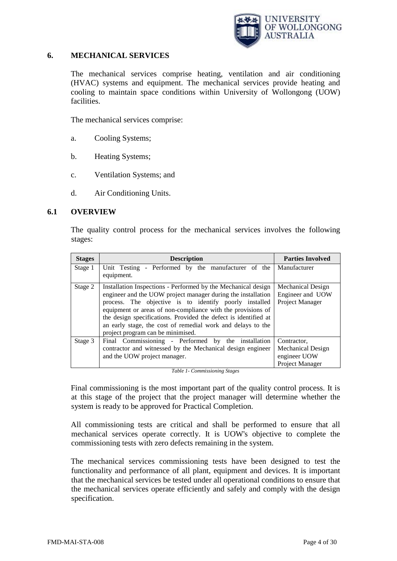

#### <span id="page-3-0"></span>**6. MECHANICAL SERVICES**

The mechanical services comprise heating, ventilation and air conditioning (HVAC) systems and equipment. The mechanical services provide heating and cooling to maintain space conditions within University of Wollongong (UOW) facilities.

The mechanical services comprise:

- a. Cooling Systems;
- b. Heating Systems;
- c. Ventilation Systems; and
- d. Air Conditioning Units.

#### <span id="page-3-1"></span>**6.1 OVERVIEW**

The quality control process for the mechanical services involves the following stages:

| <b>Stages</b> | <b>Description</b>                                                                                                                                                                                                                                                                                                                                                                                                            | <b>Parties Involved</b>                                                    |
|---------------|-------------------------------------------------------------------------------------------------------------------------------------------------------------------------------------------------------------------------------------------------------------------------------------------------------------------------------------------------------------------------------------------------------------------------------|----------------------------------------------------------------------------|
| Stage 1       | Unit Testing - Performed by the manufacturer of the<br>equipment.                                                                                                                                                                                                                                                                                                                                                             | Manufacturer                                                               |
| Stage 2       | Installation Inspections - Performed by the Mechanical design<br>engineer and the UOW project manager during the installation<br>process. The objective is to identify poorly installed<br>equipment or areas of non-compliance with the provisions of<br>the design specifications. Provided the defect is identified at<br>an early stage, the cost of remedial work and delays to the<br>project program can be minimised. | <b>Mechanical Design</b><br>Engineer and UOW<br>Project Manager            |
| Stage 3       | Final Commissioning - Performed by the installation<br>contractor and witnessed by the Mechanical design engineer<br>and the UOW project manager.                                                                                                                                                                                                                                                                             | Contractor,<br><b>Mechanical Design</b><br>engineer UOW<br>Project Manager |

*Table 1- Commissioning Stages*

Final commissioning is the most important part of the quality control process. It is at this stage of the project that the project manager will determine whether the system is ready to be approved for Practical Completion.

All commissioning tests are critical and shall be performed to ensure that all mechanical services operate correctly. It is UOW's objective to complete the commissioning tests with zero defects remaining in the system.

The mechanical services commissioning tests have been designed to test the functionality and performance of all plant, equipment and devices. It is important that the mechanical services be tested under all operational conditions to ensure that the mechanical services operate efficiently and safely and comply with the design specification.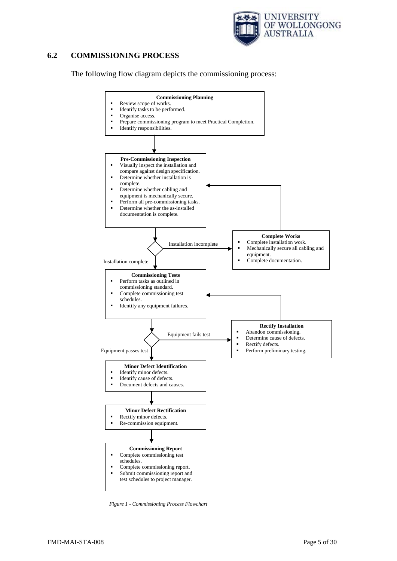

#### <span id="page-4-0"></span>**6.2 COMMISSIONING PROCESS**

The following flow diagram depicts the commissioning process:



*Figure 1 - Commissioning Process Flowchart*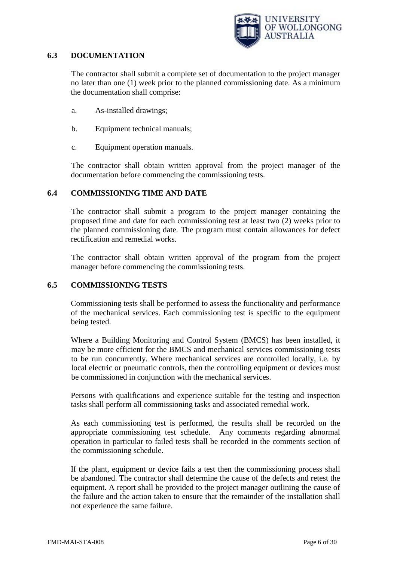

#### <span id="page-5-0"></span>**6.3 DOCUMENTATION**

The contractor shall submit a complete set of documentation to the project manager no later than one (1) week prior to the planned commissioning date. As a minimum the documentation shall comprise:

- a. As-installed drawings;
- b. Equipment technical manuals;
- c. Equipment operation manuals.

The contractor shall obtain written approval from the project manager of the documentation before commencing the commissioning tests.

#### <span id="page-5-1"></span>**6.4 COMMISSIONING TIME AND DATE**

The contractor shall submit a program to the project manager containing the proposed time and date for each commissioning test at least two (2) weeks prior to the planned commissioning date. The program must contain allowances for defect rectification and remedial works.

The contractor shall obtain written approval of the program from the project manager before commencing the commissioning tests.

#### <span id="page-5-2"></span>**6.5 COMMISSIONING TESTS**

Commissioning tests shall be performed to assess the functionality and performance of the mechanical services. Each commissioning test is specific to the equipment being tested.

Where a Building Monitoring and Control System (BMCS) has been installed, it may be more efficient for the BMCS and mechanical services commissioning tests to be run concurrently. Where mechanical services are controlled locally, i.e. by local electric or pneumatic controls, then the controlling equipment or devices must be commissioned in conjunction with the mechanical services.

Persons with qualifications and experience suitable for the testing and inspection tasks shall perform all commissioning tasks and associated remedial work.

As each commissioning test is performed, the results shall be recorded on the appropriate commissioning test schedule. Any comments regarding abnormal operation in particular to failed tests shall be recorded in the comments section of the commissioning schedule.

If the plant, equipment or device fails a test then the commissioning process shall be abandoned. The contractor shall determine the cause of the defects and retest the equipment. A report shall be provided to the project manager outlining the cause of the failure and the action taken to ensure that the remainder of the installation shall not experience the same failure.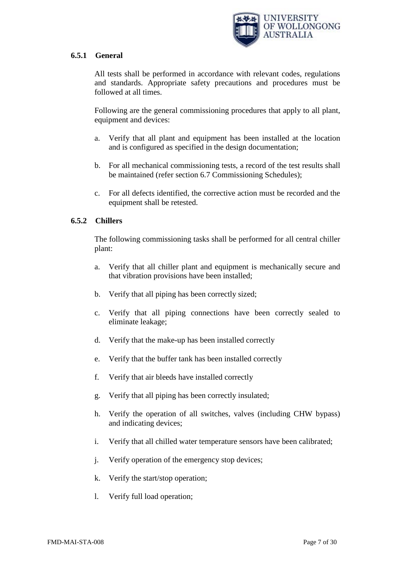

## <span id="page-6-0"></span>**6.5.1 General**

All tests shall be performed in accordance with relevant codes, regulations and standards. Appropriate safety precautions and procedures must be followed at all times.

Following are the general commissioning procedures that apply to all plant, equipment and devices:

- a. Verify that all plant and equipment has been installed at the location and is configured as specified in the design documentation;
- b. For all mechanical commissioning tests, a record of the test results shall be maintained (refer section 6.7 Commissioning Schedules);
- c. For all defects identified, the corrective action must be recorded and the equipment shall be retested.

# <span id="page-6-1"></span>**6.5.2 Chillers**

The following commissioning tasks shall be performed for all central chiller plant:

- a. Verify that all chiller plant and equipment is mechanically secure and that vibration provisions have been installed;
- b. Verify that all piping has been correctly sized;
- c. Verify that all piping connections have been correctly sealed to eliminate leakage;
- d. Verify that the make-up has been installed correctly
- e. Verify that the buffer tank has been installed correctly
- f. Verify that air bleeds have installed correctly
- g. Verify that all piping has been correctly insulated;
- h. Verify the operation of all switches, valves (including CHW bypass) and indicating devices;
- i. Verify that all chilled water temperature sensors have been calibrated;
- j. Verify operation of the emergency stop devices;
- k. Verify the start/stop operation;
- l. Verify full load operation;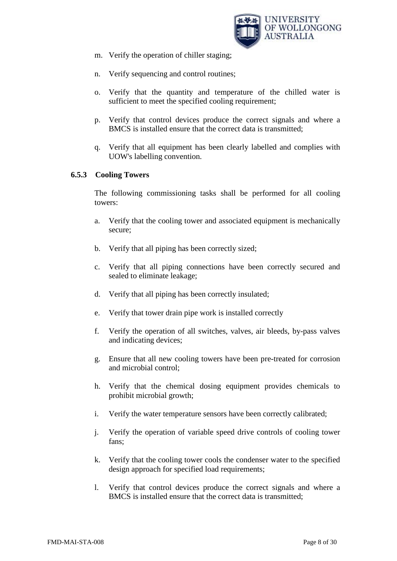

- m. Verify the operation of chiller staging;
- n. Verify sequencing and control routines;
- o. Verify that the quantity and temperature of the chilled water is sufficient to meet the specified cooling requirement;
- p. Verify that control devices produce the correct signals and where a BMCS is installed ensure that the correct data is transmitted;
- q. Verify that all equipment has been clearly labelled and complies with UOW's labelling convention.

# <span id="page-7-0"></span>**6.5.3 Cooling Towers**

The following commissioning tasks shall be performed for all cooling towers:

- a. Verify that the cooling tower and associated equipment is mechanically secure;
- b. Verify that all piping has been correctly sized;
- c. Verify that all piping connections have been correctly secured and sealed to eliminate leakage;
- d. Verify that all piping has been correctly insulated;
- e. Verify that tower drain pipe work is installed correctly
- f. Verify the operation of all switches, valves, air bleeds, by-pass valves and indicating devices;
- g. Ensure that all new cooling towers have been pre-treated for corrosion and microbial control;
- h. Verify that the chemical dosing equipment provides chemicals to prohibit microbial growth;
- i. Verify the water temperature sensors have been correctly calibrated;
- j. Verify the operation of variable speed drive controls of cooling tower fans;
- k. Verify that the cooling tower cools the condenser water to the specified design approach for specified load requirements;
- l. Verify that control devices produce the correct signals and where a BMCS is installed ensure that the correct data is transmitted;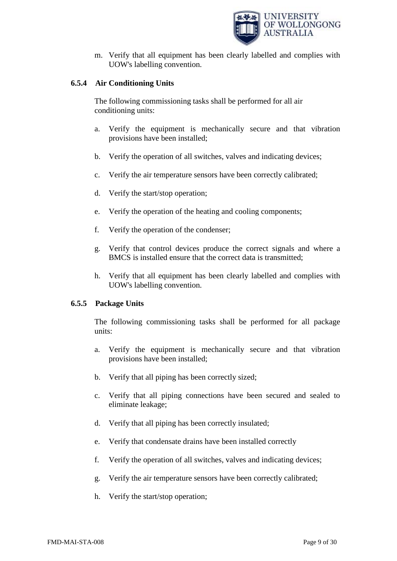

m. Verify that all equipment has been clearly labelled and complies with UOW's labelling convention.

# <span id="page-8-0"></span>**6.5.4 Air Conditioning Units**

The following commissioning tasks shall be performed for all air conditioning units:

- a. Verify the equipment is mechanically secure and that vibration provisions have been installed;
- b. Verify the operation of all switches, valves and indicating devices;
- c. Verify the air temperature sensors have been correctly calibrated;
- d. Verify the start/stop operation;
- e. Verify the operation of the heating and cooling components;
- f. Verify the operation of the condenser;
- g. Verify that control devices produce the correct signals and where a BMCS is installed ensure that the correct data is transmitted;
- h. Verify that all equipment has been clearly labelled and complies with UOW's labelling convention.

# <span id="page-8-1"></span>**6.5.5 Package Units**

The following commissioning tasks shall be performed for all package units:

- a. Verify the equipment is mechanically secure and that vibration provisions have been installed;
- b. Verify that all piping has been correctly sized;
- c. Verify that all piping connections have been secured and sealed to eliminate leakage;
- d. Verify that all piping has been correctly insulated;
- e. Verify that condensate drains have been installed correctly
- f. Verify the operation of all switches, valves and indicating devices;
- g. Verify the air temperature sensors have been correctly calibrated;
- h. Verify the start/stop operation;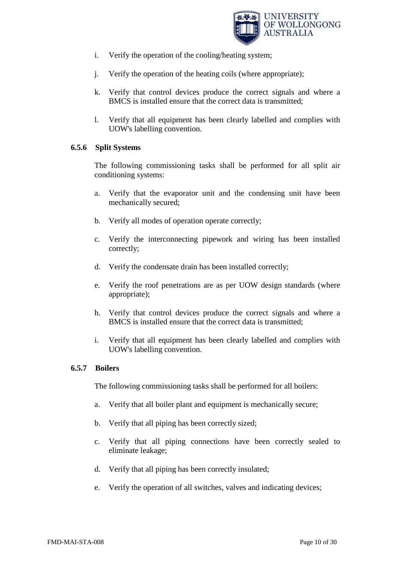

- i. Verify the operation of the cooling/heating system;
- j. Verify the operation of the heating coils (where appropriate);
- k. Verify that control devices produce the correct signals and where a BMCS is installed ensure that the correct data is transmitted;
- l. Verify that all equipment has been clearly labelled and complies with UOW's labelling convention.

#### <span id="page-9-0"></span>**6.5.6 Split Systems**

The following commissioning tasks shall be performed for all split air conditioning systems:

- a. Verify that the evaporator unit and the condensing unit have been mechanically secured;
- b. Verify all modes of operation operate correctly;
- c. Verify the interconnecting pipework and wiring has been installed correctly;
- d. Verify the condensate drain has been installed correctly;
- e. Verify the roof penetrations are as per UOW design standards (where appropriate);
- h. Verify that control devices produce the correct signals and where a BMCS is installed ensure that the correct data is transmitted;
- i. Verify that all equipment has been clearly labelled and complies with UOW's labelling convention.

#### <span id="page-9-1"></span>**6.5.7 Boilers**

The following commissioning tasks shall be performed for all boilers:

- a. Verify that all boiler plant and equipment is mechanically secure;
- b. Verify that all piping has been correctly sized;
- c. Verify that all piping connections have been correctly sealed to eliminate leakage;
- d. Verify that all piping has been correctly insulated;
- e. Verify the operation of all switches, valves and indicating devices;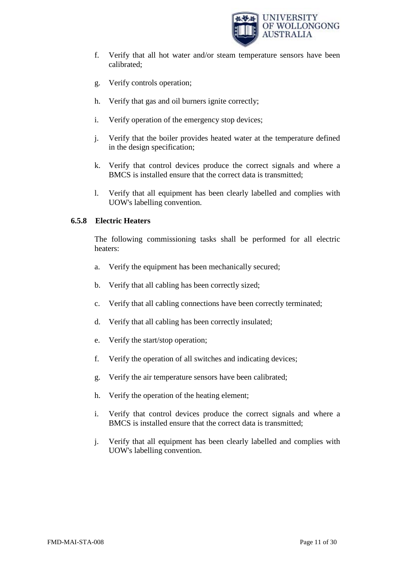

- f. Verify that all hot water and/or steam temperature sensors have been calibrated;
- g. Verify controls operation;
- h. Verify that gas and oil burners ignite correctly;
- i. Verify operation of the emergency stop devices;
- j. Verify that the boiler provides heated water at the temperature defined in the design specification;
- k. Verify that control devices produce the correct signals and where a BMCS is installed ensure that the correct data is transmitted;
- l. Verify that all equipment has been clearly labelled and complies with UOW's labelling convention.

# <span id="page-10-0"></span>**6.5.8 Electric Heaters**

The following commissioning tasks shall be performed for all electric heaters:

- a. Verify the equipment has been mechanically secured;
- b. Verify that all cabling has been correctly sized;
- c. Verify that all cabling connections have been correctly terminated;
- d. Verify that all cabling has been correctly insulated;
- e. Verify the start/stop operation;
- f. Verify the operation of all switches and indicating devices;
- g. Verify the air temperature sensors have been calibrated;
- h. Verify the operation of the heating element;
- i. Verify that control devices produce the correct signals and where a BMCS is installed ensure that the correct data is transmitted;
- <span id="page-10-1"></span>j. Verify that all equipment has been clearly labelled and complies with UOW's labelling convention.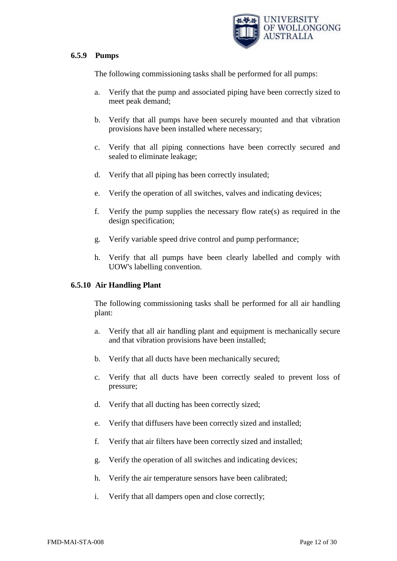

#### **6.5.9 Pumps**

The following commissioning tasks shall be performed for all pumps:

- a. Verify that the pump and associated piping have been correctly sized to meet peak demand;
- b. Verify that all pumps have been securely mounted and that vibration provisions have been installed where necessary;
- c. Verify that all piping connections have been correctly secured and sealed to eliminate leakage;
- d. Verify that all piping has been correctly insulated;
- e. Verify the operation of all switches, valves and indicating devices;
- f. Verify the pump supplies the necessary flow rate(s) as required in the design specification;
- g. Verify variable speed drive control and pump performance;
- h. Verify that all pumps have been clearly labelled and comply with UOW's labelling convention.

#### <span id="page-11-0"></span>**6.5.10 Air Handling Plant**

The following commissioning tasks shall be performed for all air handling plant:

- a. Verify that all air handling plant and equipment is mechanically secure and that vibration provisions have been installed;
- b. Verify that all ducts have been mechanically secured;
- c. Verify that all ducts have been correctly sealed to prevent loss of pressure;
- d. Verify that all ducting has been correctly sized;
- e. Verify that diffusers have been correctly sized and installed;
- f. Verify that air filters have been correctly sized and installed;
- g. Verify the operation of all switches and indicating devices;
- h. Verify the air temperature sensors have been calibrated;
- i. Verify that all dampers open and close correctly;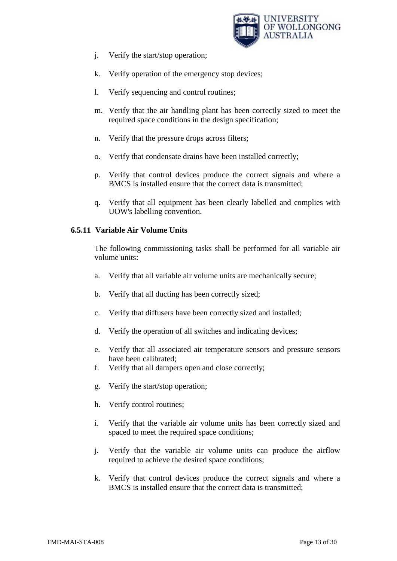

- j. Verify the start/stop operation;
- k. Verify operation of the emergency stop devices;
- l. Verify sequencing and control routines;
- m. Verify that the air handling plant has been correctly sized to meet the required space conditions in the design specification;
- n. Verify that the pressure drops across filters;
- o. Verify that condensate drains have been installed correctly;
- p. Verify that control devices produce the correct signals and where a BMCS is installed ensure that the correct data is transmitted;
- q. Verify that all equipment has been clearly labelled and complies with UOW's labelling convention.

# <span id="page-12-0"></span>**6.5.11 Variable Air Volume Units**

The following commissioning tasks shall be performed for all variable air volume units:

- a. Verify that all variable air volume units are mechanically secure;
- b. Verify that all ducting has been correctly sized;
- c. Verify that diffusers have been correctly sized and installed;
- d. Verify the operation of all switches and indicating devices;
- e. Verify that all associated air temperature sensors and pressure sensors have been calibrated;
- f. Verify that all dampers open and close correctly;
- g. Verify the start/stop operation;
- h. Verify control routines;
- i. Verify that the variable air volume units has been correctly sized and spaced to meet the required space conditions;
- j. Verify that the variable air volume units can produce the airflow required to achieve the desired space conditions;
- k. Verify that control devices produce the correct signals and where a BMCS is installed ensure that the correct data is transmitted;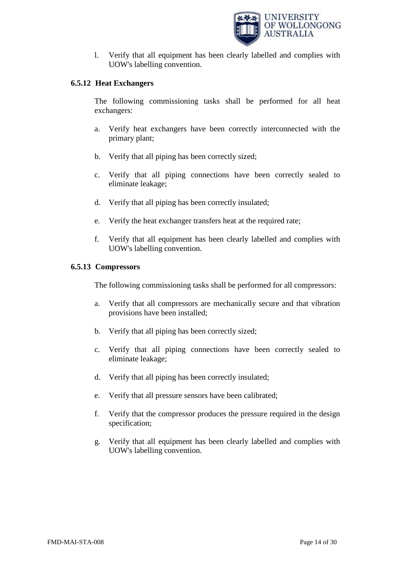

l. Verify that all equipment has been clearly labelled and complies with UOW's labelling convention.

## <span id="page-13-0"></span>**6.5.12 Heat Exchangers**

The following commissioning tasks shall be performed for all heat exchangers:

- a. Verify heat exchangers have been correctly interconnected with the primary plant;
- b. Verify that all piping has been correctly sized;
- c. Verify that all piping connections have been correctly sealed to eliminate leakage;
- d. Verify that all piping has been correctly insulated;
- e. Verify the heat exchanger transfers heat at the required rate;
- f. Verify that all equipment has been clearly labelled and complies with UOW's labelling convention.

#### <span id="page-13-1"></span>**6.5.13 Compressors**

The following commissioning tasks shall be performed for all compressors:

- a. Verify that all compressors are mechanically secure and that vibration provisions have been installed;
- b. Verify that all piping has been correctly sized;
- c. Verify that all piping connections have been correctly sealed to eliminate leakage;
- d. Verify that all piping has been correctly insulated;
- e. Verify that all pressure sensors have been calibrated;
- f. Verify that the compressor produces the pressure required in the design specification;
- <span id="page-13-2"></span>g. Verify that all equipment has been clearly labelled and complies with UOW's labelling convention.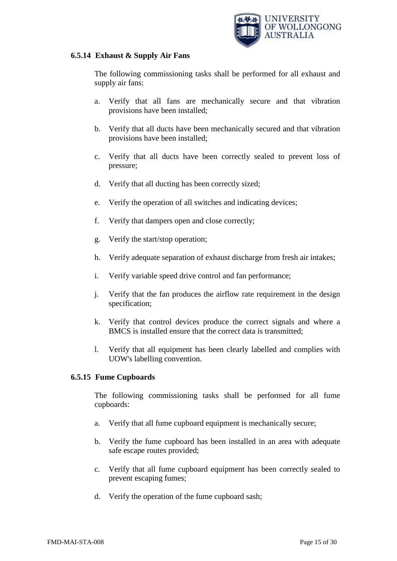

#### **6.5.14 Exhaust & Supply Air Fans**

The following commissioning tasks shall be performed for all exhaust and supply air fans:

- a. Verify that all fans are mechanically secure and that vibration provisions have been installed;
- b. Verify that all ducts have been mechanically secured and that vibration provisions have been installed;
- c. Verify that all ducts have been correctly sealed to prevent loss of pressure;
- d. Verify that all ducting has been correctly sized;
- e. Verify the operation of all switches and indicating devices;
- f. Verify that dampers open and close correctly;
- g. Verify the start/stop operation;
- h. Verify adequate separation of exhaust discharge from fresh air intakes;
- i. Verify variable speed drive control and fan performance;
- j. Verify that the fan produces the airflow rate requirement in the design specification;
- k. Verify that control devices produce the correct signals and where a BMCS is installed ensure that the correct data is transmitted;
- l. Verify that all equipment has been clearly labelled and complies with UOW's labelling convention.

# <span id="page-14-0"></span>**6.5.15 Fume Cupboards**

The following commissioning tasks shall be performed for all fume cupboards:

- a. Verify that all fume cupboard equipment is mechanically secure;
- b. Verify the fume cupboard has been installed in an area with adequate safe escape routes provided;
- c. Verify that all fume cupboard equipment has been correctly sealed to prevent escaping fumes;
- d. Verify the operation of the fume cupboard sash;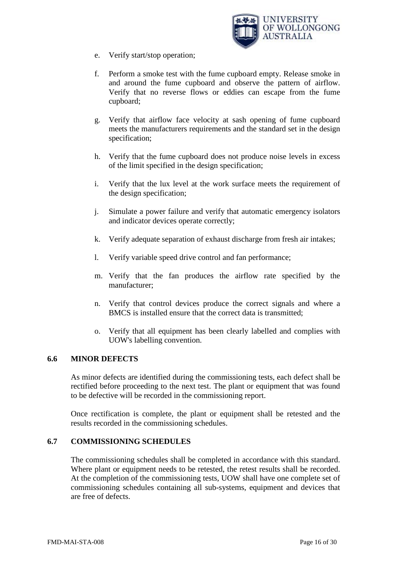

- e. Verify start/stop operation;
- f. Perform a smoke test with the fume cupboard empty. Release smoke in and around the fume cupboard and observe the pattern of airflow. Verify that no reverse flows or eddies can escape from the fume cupboard;
- g. Verify that airflow face velocity at sash opening of fume cupboard meets the manufacturers requirements and the standard set in the design specification;
- h. Verify that the fume cupboard does not produce noise levels in excess of the limit specified in the design specification;
- i. Verify that the lux level at the work surface meets the requirement of the design specification;
- j. Simulate a power failure and verify that automatic emergency isolators and indicator devices operate correctly;
- k. Verify adequate separation of exhaust discharge from fresh air intakes;
- l. Verify variable speed drive control and fan performance;
- m. Verify that the fan produces the airflow rate specified by the manufacturer;
- n. Verify that control devices produce the correct signals and where a BMCS is installed ensure that the correct data is transmitted;
- o. Verify that all equipment has been clearly labelled and complies with UOW's labelling convention.

#### <span id="page-15-0"></span>**6.6 MINOR DEFECTS**

As minor defects are identified during the commissioning tests, each defect shall be rectified before proceeding to the next test. The plant or equipment that was found to be defective will be recorded in the commissioning report.

Once rectification is complete, the plant or equipment shall be retested and the results recorded in the commissioning schedules.

#### <span id="page-15-1"></span>**6.7 COMMISSIONING SCHEDULES**

The commissioning schedules shall be completed in accordance with this standard. Where plant or equipment needs to be retested, the retest results shall be recorded. At the completion of the commissioning tests, UOW shall have one complete set of commissioning schedules containing all sub-systems, equipment and devices that are free of defects.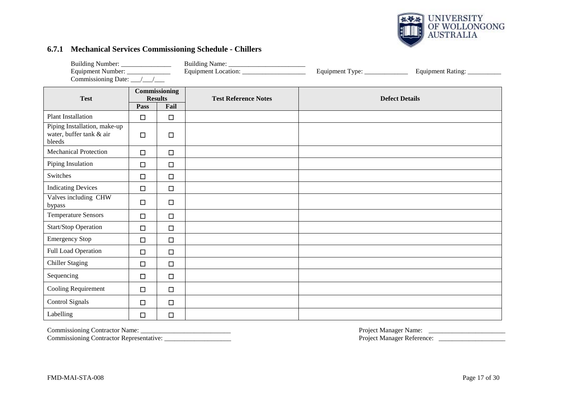

#### **6.7.1 Mechanical Services Commissioning Schedule - Chillers**

| Building Number: ________________<br>Equipment Number: _____________ |        |                        |                             | Equipment Type: _____________ | Equipment Rating:     |  |
|----------------------------------------------------------------------|--------|------------------------|-----------------------------|-------------------------------|-----------------------|--|
| Commissioning Date: __/__/___                                        |        | Commissioning          |                             |                               |                       |  |
| <b>Test</b>                                                          | Pass   | <b>Results</b><br>Fail | <b>Test Reference Notes</b> |                               | <b>Defect Details</b> |  |
| <b>Plant Installation</b>                                            | $\Box$ | $\Box$                 |                             |                               |                       |  |
| Piping Installation, make-up<br>water, buffer tank & air<br>bleeds   | $\Box$ | □                      |                             |                               |                       |  |
| <b>Mechanical Protection</b>                                         | $\Box$ | $\Box$                 |                             |                               |                       |  |
| Piping Insulation                                                    | $\Box$ | $\Box$                 |                             |                               |                       |  |
| Switches                                                             | $\Box$ | $\Box$                 |                             |                               |                       |  |
| <b>Indicating Devices</b>                                            | $\Box$ | $\Box$                 |                             |                               |                       |  |
| Valves including CHW<br>bypass                                       | $\Box$ | $\Box$                 |                             |                               |                       |  |
| <b>Temperature Sensors</b>                                           | $\Box$ | $\Box$                 |                             |                               |                       |  |
| Start/Stop Operation                                                 | $\Box$ | $\Box$                 |                             |                               |                       |  |
| <b>Emergency Stop</b>                                                | $\Box$ | $\Box$                 |                             |                               |                       |  |
| Full Load Operation                                                  | $\Box$ | □                      |                             |                               |                       |  |
| <b>Chiller Staging</b>                                               | $\Box$ | $\Box$                 |                             |                               |                       |  |
| Sequencing                                                           | $\Box$ | $\Box$                 |                             |                               |                       |  |
| Cooling Requirement                                                  | $\Box$ | $\Box$                 |                             |                               |                       |  |
| Control Signals                                                      | $\Box$ | $\Box$                 |                             |                               |                       |  |
| Labelling                                                            | $\Box$ | $\Box$                 |                             |                               |                       |  |

<span id="page-16-0"></span>

Commissioning Contractor Representative: \_\_\_\_\_\_\_\_\_\_\_\_\_\_\_\_\_\_\_\_ Project Manager Reference: \_\_\_\_\_\_\_\_\_\_\_\_\_\_\_\_\_\_\_\_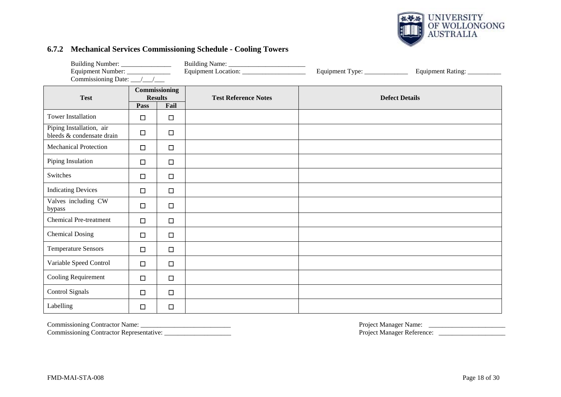

#### **6.7.2 Mechanical Services Commissioning Schedule - Cooling Towers**

| Building Number: ________________<br>Equipment Number: _____________<br>Commissioning Date: $\frac{\sqrt{1-\sqrt{1-\frac{1}{2}}}}{\sqrt{1-\sqrt{1-\frac{1}{2}}}}$ |                                 |        |                             | Equipment Type: _____________ | Equipment Rating: __________ |
|-------------------------------------------------------------------------------------------------------------------------------------------------------------------|---------------------------------|--------|-----------------------------|-------------------------------|------------------------------|
| <b>Test</b>                                                                                                                                                       | Commissioning<br><b>Results</b> |        | <b>Test Reference Notes</b> |                               | <b>Defect Details</b>        |
|                                                                                                                                                                   | Pass                            | Fail   |                             |                               |                              |
| <b>Tower Installation</b>                                                                                                                                         | $\Box$                          | $\Box$ |                             |                               |                              |
| Piping Installation, air<br>bleeds & condensate drain                                                                                                             | $\Box$                          | $\Box$ |                             |                               |                              |
| <b>Mechanical Protection</b>                                                                                                                                      | $\Box$                          | $\Box$ |                             |                               |                              |
| Piping Insulation                                                                                                                                                 | $\Box$                          | $\Box$ |                             |                               |                              |
| Switches                                                                                                                                                          | $\Box$                          | $\Box$ |                             |                               |                              |
| <b>Indicating Devices</b>                                                                                                                                         | $\Box$                          | $\Box$ |                             |                               |                              |
| Valves including CW<br>bypass                                                                                                                                     | $\Box$                          | $\Box$ |                             |                               |                              |
| <b>Chemical Pre-treatment</b>                                                                                                                                     | $\Box$                          | $\Box$ |                             |                               |                              |
| <b>Chemical Dosing</b>                                                                                                                                            | $\Box$                          | $\Box$ |                             |                               |                              |
| <b>Temperature Sensors</b>                                                                                                                                        | $\Box$                          | $\Box$ |                             |                               |                              |
| Variable Speed Control                                                                                                                                            | $\Box$                          | $\Box$ |                             |                               |                              |
| Cooling Requirement                                                                                                                                               | $\Box$                          | $\Box$ |                             |                               |                              |
| <b>Control Signals</b>                                                                                                                                            | $\Box$                          | $\Box$ |                             |                               |                              |
| Labelling                                                                                                                                                         | $\Box$                          | $\Box$ |                             |                               |                              |

<span id="page-17-0"></span>Commissioning Contractor Representative: \_\_\_\_\_\_\_\_\_\_\_\_\_\_\_\_\_\_\_\_ Project Manager Reference: \_\_\_\_\_\_\_\_\_\_\_\_\_\_\_\_\_\_\_\_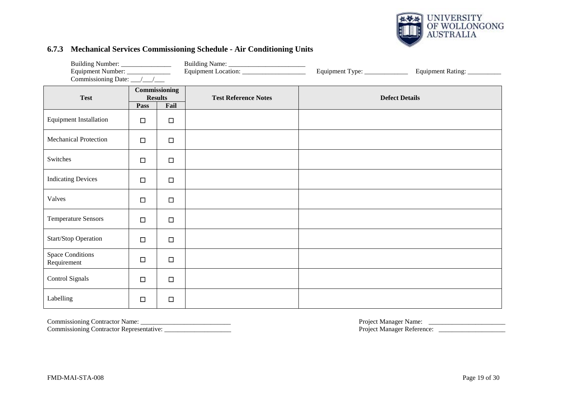

#### **6.7.3 Mechanical Services Commissioning Schedule - Air Conditioning Units**

| Building Number: ________________<br>Equipment Number: _______________<br>Commissioning Date: __/__/___ |        |                                         |                             | Equipment Type: ______________ | Equipment Rating: __________ |
|---------------------------------------------------------------------------------------------------------|--------|-----------------------------------------|-----------------------------|--------------------------------|------------------------------|
| <b>Test</b>                                                                                             | Pass   | Commissioning<br><b>Results</b><br>Fail | <b>Test Reference Notes</b> | <b>Defect Details</b>          |                              |
| <b>Equipment Installation</b>                                                                           | $\Box$ | $\Box$                                  |                             |                                |                              |
| <b>Mechanical Protection</b>                                                                            | $\Box$ | $\Box$                                  |                             |                                |                              |
| Switches                                                                                                | $\Box$ | $\Box$                                  |                             |                                |                              |
| <b>Indicating Devices</b>                                                                               | $\Box$ | $\Box$                                  |                             |                                |                              |
| Valves                                                                                                  | $\Box$ | $\Box$                                  |                             |                                |                              |
| <b>Temperature Sensors</b>                                                                              | $\Box$ | $\Box$                                  |                             |                                |                              |
| Start/Stop Operation                                                                                    | $\Box$ | $\Box$                                  |                             |                                |                              |
| <b>Space Conditions</b><br>Requirement                                                                  | $\Box$ | $\Box$                                  |                             |                                |                              |
| Control Signals                                                                                         | $\Box$ | $\Box$                                  |                             |                                |                              |
| Labelling                                                                                               | $\Box$ | $\Box$                                  |                             |                                |                              |

<span id="page-18-0"></span>Commissioning Contractor Name: \_\_\_\_\_\_\_\_\_\_\_\_\_\_\_\_\_\_\_\_\_\_\_\_\_\_\_ Project Manager Name: \_\_\_\_\_\_\_\_\_\_\_\_\_\_\_\_\_\_\_\_\_\_\_ Commissioning Contractor Representative: \_\_\_\_\_\_\_\_\_\_\_\_\_\_\_\_\_\_\_\_ Project Manager Reference: \_\_\_\_\_\_\_\_\_\_\_\_\_\_\_\_\_\_\_\_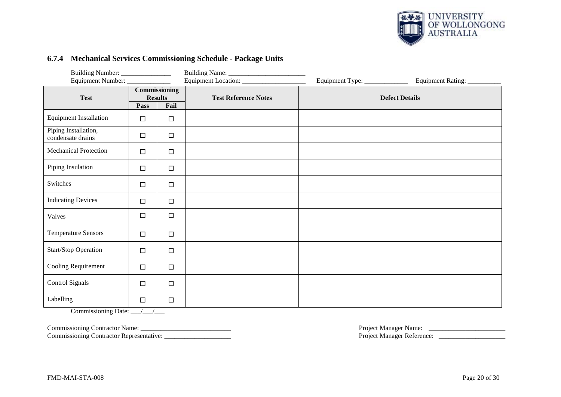

#### **6.7.4 Mechanical Services Commissioning Schedule - Package Units**

| Building Number: ________________         |        |                                        |                             |                                 |                              |
|-------------------------------------------|--------|----------------------------------------|-----------------------------|---------------------------------|------------------------------|
| Equipment Number: _____________           |        |                                        |                             | Equipment Type: _______________ | Equipment Rating: __________ |
| <b>Test</b>                               |        | <b>Commissioning</b><br><b>Results</b> | <b>Test Reference Notes</b> |                                 | <b>Defect Details</b>        |
|                                           | Pass   | Fail                                   |                             |                                 |                              |
| <b>Equipment Installation</b>             | $\Box$ | $\Box$                                 |                             |                                 |                              |
| Piping Installation,<br>condensate drains | $\Box$ | $\Box$                                 |                             |                                 |                              |
| <b>Mechanical Protection</b>              | $\Box$ | $\Box$                                 |                             |                                 |                              |
| Piping Insulation                         | $\Box$ | $\Box$                                 |                             |                                 |                              |
| Switches                                  | $\Box$ | $\Box$                                 |                             |                                 |                              |
| <b>Indicating Devices</b>                 | $\Box$ | $\Box$                                 |                             |                                 |                              |
| Valves                                    | $\Box$ | $\Box$                                 |                             |                                 |                              |
| <b>Temperature Sensors</b>                | $\Box$ | $\Box$                                 |                             |                                 |                              |
| Start/Stop Operation                      | $\Box$ | $\Box$                                 |                             |                                 |                              |
| Cooling Requirement                       | $\Box$ | $\Box$                                 |                             |                                 |                              |
| <b>Control Signals</b>                    | $\Box$ | $\Box$                                 |                             |                                 |                              |
| Labelling                                 | $\Box$ | $\Box$                                 |                             |                                 |                              |

<span id="page-19-0"></span>Commissioning Date: \_\_\_/\_\_\_/\_\_\_

Commissioning Contractor Name: \_\_\_\_\_\_\_\_\_\_\_\_\_\_\_\_\_\_\_\_\_\_\_\_\_\_\_ Project Manager Name: \_\_\_\_\_\_\_\_\_\_\_\_\_\_\_\_\_\_\_\_\_\_\_

Commissioning Contractor Representative: \_\_\_\_\_\_\_\_\_\_\_\_\_\_\_\_\_\_\_\_ Project Manager Reference: \_\_\_\_\_\_\_\_\_\_\_\_\_\_\_\_\_\_\_\_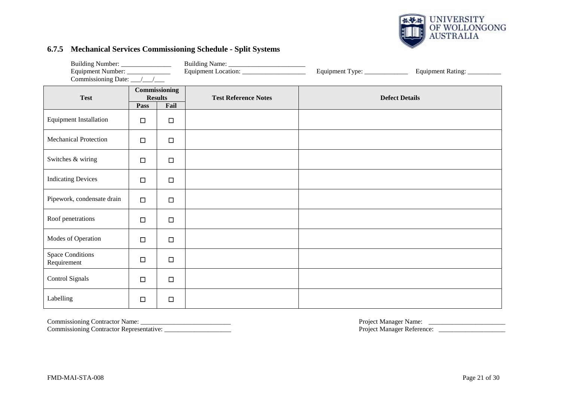

#### **6.7.5 Mechanical Services Commissioning Schedule - Split Systems**

| Building Number: _______________<br>Equipment Number: _______________<br>Commissioning Date: __/__/___ |                                                 |        |                             | Equipment Type: ____________ | Equipment Rating: __________ |
|--------------------------------------------------------------------------------------------------------|-------------------------------------------------|--------|-----------------------------|------------------------------|------------------------------|
| <b>Test</b>                                                                                            | Commissioning<br><b>Results</b><br>Fail<br>Pass |        | <b>Test Reference Notes</b> | <b>Defect Details</b>        |                              |
| <b>Equipment Installation</b>                                                                          | $\Box$                                          | $\Box$ |                             |                              |                              |
| <b>Mechanical Protection</b>                                                                           | $\Box$                                          | $\Box$ |                             |                              |                              |
| Switches & wiring                                                                                      | $\Box$                                          | $\Box$ |                             |                              |                              |
| <b>Indicating Devices</b>                                                                              | $\Box$                                          | $\Box$ |                             |                              |                              |
| Pipework, condensate drain                                                                             | $\Box$                                          | $\Box$ |                             |                              |                              |
| Roof penetrations                                                                                      | $\Box$                                          | $\Box$ |                             |                              |                              |
| Modes of Operation                                                                                     | $\Box$                                          | $\Box$ |                             |                              |                              |
| <b>Space Conditions</b><br>Requirement                                                                 | $\Box$                                          | $\Box$ |                             |                              |                              |
| Control Signals                                                                                        | $\Box$                                          | $\Box$ |                             |                              |                              |
| Labelling                                                                                              | $\Box$                                          | $\Box$ |                             |                              |                              |

<span id="page-20-0"></span>Commissioning Contractor Name: \_\_\_\_\_\_\_\_\_\_\_\_\_\_\_\_\_\_\_\_\_\_\_\_\_\_\_ Project Manager Name: \_\_\_\_\_\_\_\_\_\_\_\_\_\_\_\_\_\_\_\_\_\_\_ Commissioning Contractor Representative: \_\_\_\_\_\_\_\_\_\_\_\_\_\_\_\_\_\_\_\_ Project Manager Reference: \_\_\_\_\_\_\_\_\_\_\_\_\_\_\_\_\_\_\_\_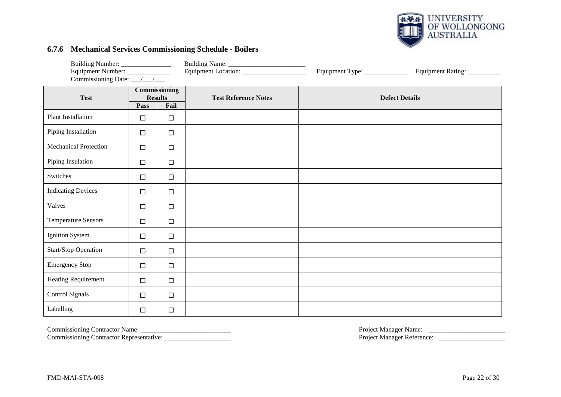

#### **6.7.6 Mechanical Services Commissioning Schedule - Boilers**

| Building Number: ________________                                 |        |                                 |                             |                              |                              |
|-------------------------------------------------------------------|--------|---------------------------------|-----------------------------|------------------------------|------------------------------|
| Equipment Number: ______________<br>Commissioning Date: __/__/___ |        |                                 |                             | Equipment Type: ____________ | Equipment Rating: __________ |
| <b>Test</b>                                                       |        | Commissioning<br><b>Results</b> | <b>Test Reference Notes</b> | <b>Defect Details</b>        |                              |
|                                                                   | Pass   | Fail                            |                             |                              |                              |
| <b>Plant Installation</b>                                         | $\Box$ | $\Box$                          |                             |                              |                              |
| Piping Installation                                               | $\Box$ | $\Box$                          |                             |                              |                              |
| <b>Mechanical Protection</b>                                      | $\Box$ | $\Box$                          |                             |                              |                              |
| Piping Insulation                                                 | $\Box$ | $\Box$                          |                             |                              |                              |
| Switches                                                          | $\Box$ | $\Box$                          |                             |                              |                              |
| <b>Indicating Devices</b>                                         | $\Box$ | $\Box$                          |                             |                              |                              |
| Valves                                                            | $\Box$ | $\Box$                          |                             |                              |                              |
| <b>Temperature Sensors</b>                                        | $\Box$ | $\Box$                          |                             |                              |                              |
| Ignition System                                                   | $\Box$ | $\Box$                          |                             |                              |                              |
| <b>Start/Stop Operation</b>                                       | $\Box$ | $\Box$                          |                             |                              |                              |
| <b>Emergency Stop</b>                                             | $\Box$ | $\Box$                          |                             |                              |                              |
| Heating Requirement                                               | $\Box$ | $\Box$                          |                             |                              |                              |
| Control Signals                                                   | $\Box$ | $\Box$                          |                             |                              |                              |
| Labelling                                                         | $\Box$ | $\Box$                          |                             |                              |                              |

<span id="page-21-0"></span>

Commissioning Contractor Representative: \_\_\_\_\_\_\_\_\_\_\_\_\_\_\_\_\_\_\_\_ Project Manager Reference: \_\_\_\_\_\_\_\_\_\_\_\_\_\_\_\_\_\_\_\_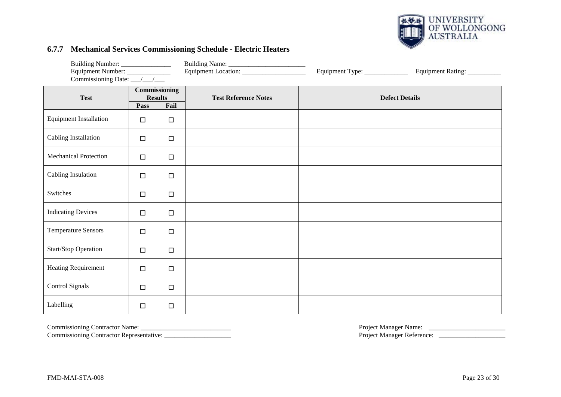

#### **6.7.7 Mechanical Services Commissioning Schedule - Electric Heaters**

| Equipment Number: ______________ |                |        |                                      | Equipment Type: _______________ | Equipment Rating: __________ |                       |  |
|----------------------------------|----------------|--------|--------------------------------------|---------------------------------|------------------------------|-----------------------|--|
| <b>Test</b>                      | <b>Results</b> |        | <b>Commissioning</b><br>Fail<br>Pass |                                 | <b>Test Reference Notes</b>  | <b>Defect Details</b> |  |
| <b>Equipment Installation</b>    | $\Box$         | $\Box$ |                                      |                                 |                              |                       |  |
| Cabling Installation             | $\Box$         | $\Box$ |                                      |                                 |                              |                       |  |
| <b>Mechanical Protection</b>     | $\Box$         | $\Box$ |                                      |                                 |                              |                       |  |
| Cabling Insulation               | $\Box$         | $\Box$ |                                      |                                 |                              |                       |  |
| Switches                         | $\Box$         | $\Box$ |                                      |                                 |                              |                       |  |
| <b>Indicating Devices</b>        | $\Box$         | $\Box$ |                                      |                                 |                              |                       |  |
| <b>Temperature Sensors</b>       | $\Box$         | $\Box$ |                                      |                                 |                              |                       |  |
| Start/Stop Operation             | $\Box$         | $\Box$ |                                      |                                 |                              |                       |  |
| Heating Requirement              | $\Box$         | $\Box$ |                                      |                                 |                              |                       |  |
| Control Signals                  | $\Box$         | $\Box$ |                                      |                                 |                              |                       |  |
| Labelling                        | $\Box$         | $\Box$ |                                      |                                 |                              |                       |  |

<span id="page-22-0"></span>

Commissioning Contractor Representative: \_\_\_\_\_\_\_\_\_\_\_\_\_\_\_\_\_\_\_\_ Project Manager Reference: \_\_\_\_\_\_\_\_\_\_\_\_\_\_\_\_\_\_\_\_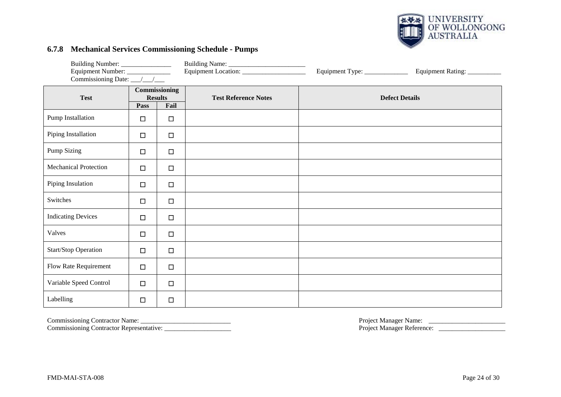

#### **6.7.8 Mechanical Services Commissioning Schedule - Pumps**

| Building Number: _____________                 |        |        |                             | Equipment Type: _____________ | Equipment Rating: __________ |  |
|------------------------------------------------|--------|--------|-----------------------------|-------------------------------|------------------------------|--|
| Commissioning<br><b>Results</b><br><b>Test</b> |        |        | <b>Test Reference Notes</b> |                               | <b>Defect Details</b>        |  |
|                                                | Pass   | Fail   |                             |                               |                              |  |
| Pump Installation                              | $\Box$ | $\Box$ |                             |                               |                              |  |
| Piping Installation                            | $\Box$ | $\Box$ |                             |                               |                              |  |
| Pump Sizing                                    | $\Box$ | $\Box$ |                             |                               |                              |  |
| <b>Mechanical Protection</b>                   | $\Box$ | $\Box$ |                             |                               |                              |  |
| Piping Insulation                              | $\Box$ | $\Box$ |                             |                               |                              |  |
| Switches                                       | $\Box$ | $\Box$ |                             |                               |                              |  |
| <b>Indicating Devices</b>                      | $\Box$ | $\Box$ |                             |                               |                              |  |
| Valves                                         | $\Box$ | $\Box$ |                             |                               |                              |  |
| Start/Stop Operation                           | $\Box$ | $\Box$ |                             |                               |                              |  |
| Flow Rate Requirement                          | $\Box$ | $\Box$ |                             |                               |                              |  |
| Variable Speed Control                         | $\Box$ | $\Box$ |                             |                               |                              |  |
| Labelling                                      | $\Box$ | $\Box$ |                             |                               |                              |  |

<span id="page-23-0"></span>Commissioning Contractor Representative: \_\_\_\_\_\_\_\_\_\_\_\_\_\_\_\_\_\_\_\_ Project Manager Reference: \_\_\_\_\_\_\_\_\_\_\_\_\_\_\_\_\_\_\_\_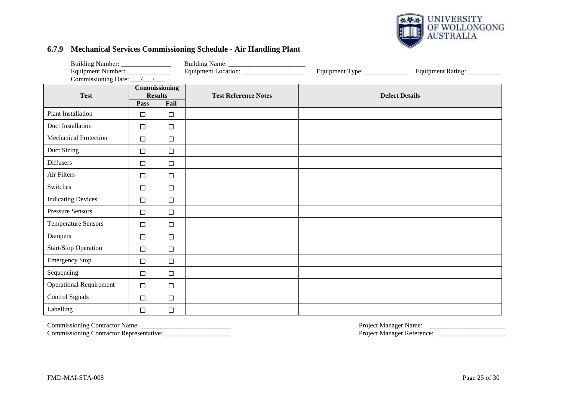

#### **6.7.9 Mechanical Services Commissioning Schedule - Air Handling Plant**

| Equipment Number: ______________<br>Commissioning Date: $\frac{\sqrt{1-\lambda}}{\sqrt{1-\lambda}}$ |                                 |        |                             | Equipment Type: ____________ | Equipment Rating: __________ |
|-----------------------------------------------------------------------------------------------------|---------------------------------|--------|-----------------------------|------------------------------|------------------------------|
| <b>Test</b>                                                                                         | Commissioning<br><b>Results</b> |        | <b>Test Reference Notes</b> |                              | <b>Defect Details</b>        |
|                                                                                                     | Pass                            | Fail   |                             |                              |                              |
| <b>Plant Installation</b>                                                                           | $\Box$                          | $\Box$ |                             |                              |                              |
| Duct Installation                                                                                   | $\Box$                          | $\Box$ |                             |                              |                              |
| <b>Mechanical Protection</b>                                                                        | $\Box$                          | $\Box$ |                             |                              |                              |
| Duct Sizing                                                                                         | $\Box$                          | $\Box$ |                             |                              |                              |
| <b>Diffusers</b>                                                                                    | $\Box$                          | $\Box$ |                             |                              |                              |
| Air Filters                                                                                         | $\Box$                          | $\Box$ |                             |                              |                              |
| Switches                                                                                            | $\Box$                          | $\Box$ |                             |                              |                              |
| <b>Indicating Devices</b>                                                                           | $\Box$                          | $\Box$ |                             |                              |                              |
| <b>Pressure Sensors</b>                                                                             | $\Box$                          | $\Box$ |                             |                              |                              |
| <b>Temperature Sensors</b>                                                                          | $\Box$                          | $\Box$ |                             |                              |                              |
| Dampers                                                                                             | $\Box$                          | $\Box$ |                             |                              |                              |
| Start/Stop Operation                                                                                | $\Box$                          | $\Box$ |                             |                              |                              |
| <b>Emergency Stop</b>                                                                               | $\Box$                          | $\Box$ |                             |                              |                              |
| Sequencing                                                                                          | $\Box$                          | $\Box$ |                             |                              |                              |
| <b>Operational Requirement</b>                                                                      | $\Box$                          | $\Box$ |                             |                              |                              |
| <b>Control Signals</b>                                                                              | $\Box$                          | $\Box$ |                             |                              |                              |
| Labelling                                                                                           | $\Box$                          | $\Box$ |                             |                              |                              |

<span id="page-24-0"></span>Commissioning Contractor Name: \_\_\_\_\_\_\_\_\_\_\_\_\_\_\_\_\_\_\_\_\_\_\_\_\_\_\_ Project Manager Name: \_\_\_\_\_\_\_\_\_\_\_\_\_\_\_\_\_\_\_\_\_\_\_ Commissioning Contractor Representative: \_\_\_\_\_\_\_\_\_\_\_\_\_\_\_\_\_\_\_\_ Project Manager Reference: \_\_\_\_\_\_\_\_\_\_\_\_\_\_\_\_\_\_\_\_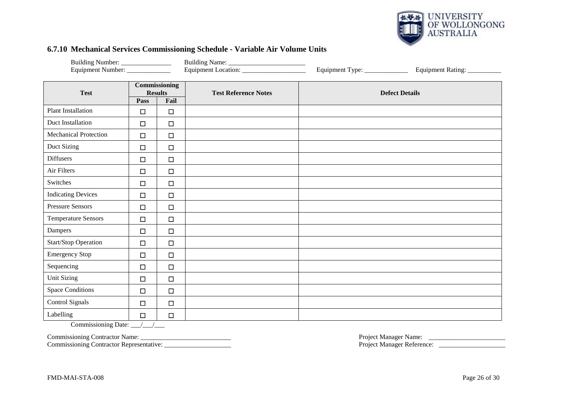

#### **6.7.10 Mechanical Services Commissioning Schedule - Variable Air Volume Units**

| Equipment Location:<br>Equipment Number: _______________<br>Equipment Type: ______________<br>Equipment Rating: |                                 |        |                             |                       |  |
|-----------------------------------------------------------------------------------------------------------------|---------------------------------|--------|-----------------------------|-----------------------|--|
| <b>Test</b>                                                                                                     | Commissioning<br><b>Results</b> |        | <b>Test Reference Notes</b> | <b>Defect Details</b> |  |
|                                                                                                                 | Pass                            | Fail   |                             |                       |  |
| <b>Plant Installation</b>                                                                                       | $\Box$                          | $\Box$ |                             |                       |  |
| Duct Installation                                                                                               | $\Box$                          | $\Box$ |                             |                       |  |
| <b>Mechanical Protection</b>                                                                                    | $\Box$                          | $\Box$ |                             |                       |  |
| Duct Sizing                                                                                                     | $\Box$                          | $\Box$ |                             |                       |  |
| <b>Diffusers</b>                                                                                                | $\Box$                          | $\Box$ |                             |                       |  |
| Air Filters                                                                                                     | $\Box$                          | $\Box$ |                             |                       |  |
| Switches                                                                                                        | $\Box$                          | $\Box$ |                             |                       |  |
| <b>Indicating Devices</b>                                                                                       | $\Box$                          | $\Box$ |                             |                       |  |
| <b>Pressure Sensors</b>                                                                                         | $\Box$                          | $\Box$ |                             |                       |  |
| <b>Temperature Sensors</b>                                                                                      | $\Box$                          | $\Box$ |                             |                       |  |
| Dampers                                                                                                         | $\Box$                          | $\Box$ |                             |                       |  |
| <b>Start/Stop Operation</b>                                                                                     | $\Box$                          | $\Box$ |                             |                       |  |
| <b>Emergency Stop</b>                                                                                           | $\Box$                          | $\Box$ |                             |                       |  |
| Sequencing                                                                                                      | $\Box$                          | $\Box$ |                             |                       |  |
| <b>Unit Sizing</b>                                                                                              | $\Box$                          | $\Box$ |                             |                       |  |
| <b>Space Conditions</b>                                                                                         | $\Box$                          | $\Box$ |                             |                       |  |
| <b>Control Signals</b>                                                                                          | $\Box$                          | $\Box$ |                             |                       |  |
| Labelling                                                                                                       | $\Box$                          | $\Box$ |                             |                       |  |

<span id="page-25-0"></span>Commissioning Date: \_\_\_/\_\_\_/\_\_\_

Commissioning Contractor Representative: \_\_\_\_\_\_\_\_\_\_\_\_\_\_\_\_\_\_\_\_ Project Manager Reference: \_\_\_\_\_\_\_\_\_\_\_\_\_\_\_\_\_\_\_\_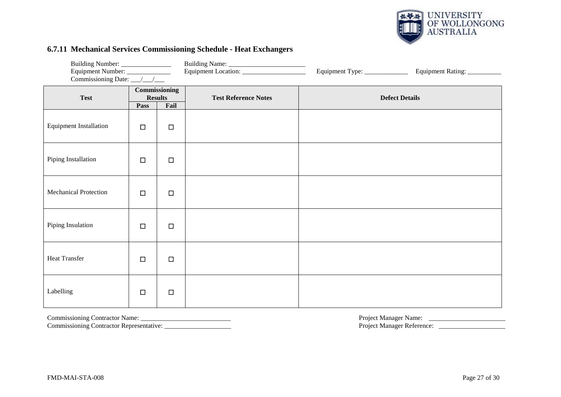

#### **6.7.11 Mechanical Services Commissioning Schedule - Heat Exchangers**

| Building Number: ________________ |                                                        |        |                             | Equipment Type: ______________ | Equipment Rating: __________ |
|-----------------------------------|--------------------------------------------------------|--------|-----------------------------|--------------------------------|------------------------------|
| <b>Test</b>                       | <b>Commissioning</b><br><b>Results</b><br>Fail<br>Pass |        | <b>Test Reference Notes</b> |                                | <b>Defect Details</b>        |
| <b>Equipment Installation</b>     | $\Box$                                                 | $\Box$ |                             |                                |                              |
| Piping Installation               | $\Box$                                                 | $\Box$ |                             |                                |                              |
| <b>Mechanical Protection</b>      | $\Box$                                                 | $\Box$ |                             |                                |                              |
| Piping Insulation                 | $\Box$                                                 | $\Box$ |                             |                                |                              |
| <b>Heat Transfer</b>              | $\Box$                                                 | $\Box$ |                             |                                |                              |
| Labelling                         | $\Box$                                                 | $\Box$ |                             |                                |                              |

<span id="page-26-0"></span>

Commissioning Contractor Representative: \_\_\_\_\_\_\_\_\_\_\_\_\_\_\_\_\_\_\_\_ Project Manager Reference: \_\_\_\_\_\_\_\_\_\_\_\_\_\_\_\_\_\_\_\_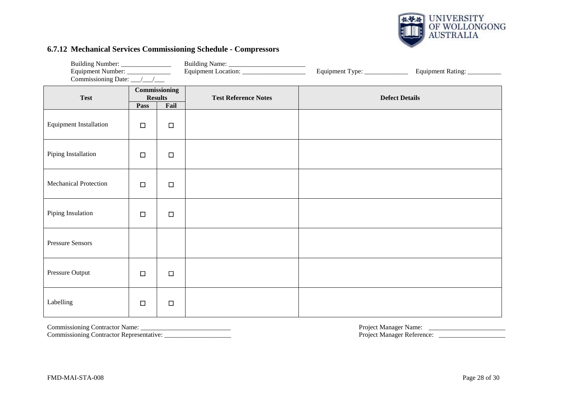

#### **6.7.12 Mechanical Services Commissioning Schedule - Compressors**

| Building Number: _______________<br>Equipment Number: ______________<br>Commissioning Date: __/__/___ |                                                        |        |                             | Equipment Type: _____________ | Equipment Rating: __________ |
|-------------------------------------------------------------------------------------------------------|--------------------------------------------------------|--------|-----------------------------|-------------------------------|------------------------------|
| <b>Test</b>                                                                                           | <b>Commissioning</b><br><b>Results</b><br>Fail<br>Pass |        | <b>Test Reference Notes</b> |                               | <b>Defect Details</b>        |
| <b>Equipment Installation</b>                                                                         | $\Box$                                                 | $\Box$ |                             |                               |                              |
| Piping Installation                                                                                   | $\Box$                                                 | $\Box$ |                             |                               |                              |
| Mechanical Protection                                                                                 | $\Box$                                                 | $\Box$ |                             |                               |                              |
| Piping Insulation                                                                                     | $\Box$                                                 | $\Box$ |                             |                               |                              |
| <b>Pressure Sensors</b>                                                                               |                                                        |        |                             |                               |                              |
| Pressure Output                                                                                       | $\Box$                                                 | $\Box$ |                             |                               |                              |
| Labelling                                                                                             | $\Box$                                                 | $\Box$ |                             |                               |                              |

<span id="page-27-0"></span>Commissioning Contractor Representative: \_\_\_\_\_\_\_\_\_\_\_\_\_\_\_\_\_\_\_\_ Project Manager Reference: \_\_\_\_\_\_\_\_\_\_\_\_\_\_\_\_\_\_\_\_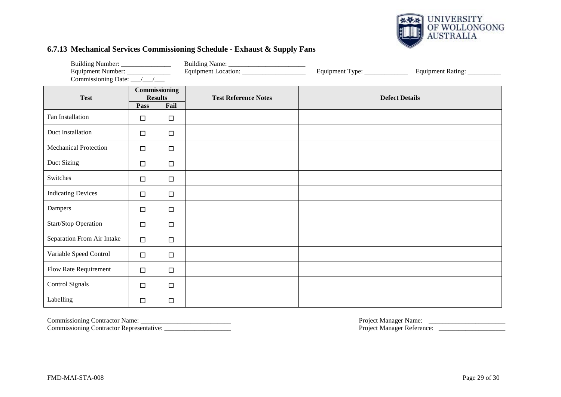

#### **6.7.13 Mechanical Services Commissioning Schedule - Exhaust & Supply Fans**

| Building Number: ________________<br>Equipment Number: ______________<br>Commissioning Date: __/__/___ |                                                 |        | Equipment Location: ______________________ | Equipment Type: _____________ | Equipment Rating: __________ |
|--------------------------------------------------------------------------------------------------------|-------------------------------------------------|--------|--------------------------------------------|-------------------------------|------------------------------|
| <b>Test</b>                                                                                            | Commissioning<br><b>Results</b><br>Fail<br>Pass |        | <b>Test Reference Notes</b>                |                               | <b>Defect Details</b>        |
| Fan Installation                                                                                       | $\Box$                                          | $\Box$ |                                            |                               |                              |
| Duct Installation                                                                                      | $\Box$                                          | $\Box$ |                                            |                               |                              |
| <b>Mechanical Protection</b>                                                                           | $\Box$                                          | $\Box$ |                                            |                               |                              |
| Duct Sizing                                                                                            | $\Box$                                          | $\Box$ |                                            |                               |                              |
| Switches                                                                                               | $\Box$                                          | $\Box$ |                                            |                               |                              |
| <b>Indicating Devices</b>                                                                              | $\Box$                                          | $\Box$ |                                            |                               |                              |
| Dampers                                                                                                | $\Box$                                          | $\Box$ |                                            |                               |                              |
| <b>Start/Stop Operation</b>                                                                            | $\Box$                                          | $\Box$ |                                            |                               |                              |
| Separation From Air Intake                                                                             | $\Box$                                          | $\Box$ |                                            |                               |                              |
| Variable Speed Control                                                                                 | $\Box$                                          | $\Box$ |                                            |                               |                              |
| Flow Rate Requirement                                                                                  | $\Box$                                          | $\Box$ |                                            |                               |                              |
| Control Signals                                                                                        | $\Box$                                          | $\Box$ |                                            |                               |                              |
| Labelling                                                                                              | $\Box$                                          | $\Box$ |                                            |                               |                              |

<span id="page-28-0"></span>

Commissioning Contractor Representative: \_\_\_\_\_\_\_\_\_\_\_\_\_\_\_\_\_\_\_\_ Project Manager Reference: \_\_\_\_\_\_\_\_\_\_\_\_\_\_\_\_\_\_\_\_